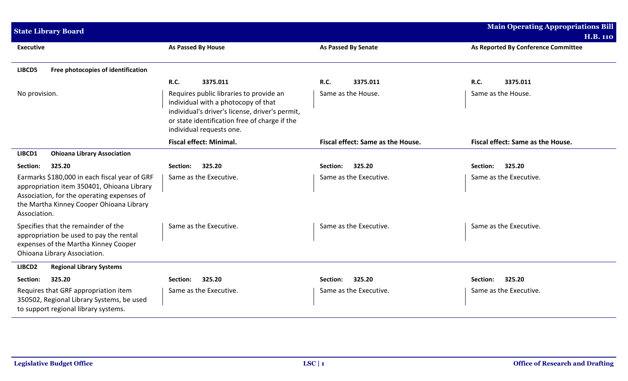| <b>State Library Board</b>                                                                                                                                                                            |                                                                                                                                                                                                                |                                   | <b>Main Operating Appropriations Bill</b><br><b>H.B. 110</b> |
|-------------------------------------------------------------------------------------------------------------------------------------------------------------------------------------------------------|----------------------------------------------------------------------------------------------------------------------------------------------------------------------------------------------------------------|-----------------------------------|--------------------------------------------------------------|
| <b>Executive</b>                                                                                                                                                                                      | <b>As Passed By House</b>                                                                                                                                                                                      | <b>As Passed By Senate</b>        | As Reported By Conference Committee                          |
| Free photocopies of identification<br>LIBCD5                                                                                                                                                          |                                                                                                                                                                                                                |                                   |                                                              |
|                                                                                                                                                                                                       | <b>R.C.</b><br>3375.011                                                                                                                                                                                        | <b>R.C.</b><br>3375.011           | 3375.011<br>R.C.                                             |
| No provision.                                                                                                                                                                                         | Requires public libraries to provide an<br>individual with a photocopy of that<br>individual's driver's license, driver's permit,<br>or state identification free of charge if the<br>individual requests one. | Same as the House.                | Same as the House.                                           |
|                                                                                                                                                                                                       | <b>Fiscal effect: Minimal.</b>                                                                                                                                                                                 | Fiscal effect: Same as the House. | Fiscal effect: Same as the House.                            |
| LIBCD1<br><b>Ohioana Library Association</b>                                                                                                                                                          |                                                                                                                                                                                                                |                                   |                                                              |
| Section:<br>325.20                                                                                                                                                                                    | Section:<br>325.20                                                                                                                                                                                             | Section:<br>325.20                | Section:<br>325.20                                           |
| Earmarks \$180,000 in each fiscal year of GRF<br>appropriation item 350401, Ohioana Library<br>Association, for the operating expenses of<br>the Martha Kinney Cooper Ohioana Library<br>Association. | Same as the Executive.                                                                                                                                                                                         | Same as the Executive.            | Same as the Executive.                                       |
| Specifies that the remainder of the<br>appropriation be used to pay the rental<br>expenses of the Martha Kinney Cooper<br>Ohioana Library Association.                                                | Same as the Executive.                                                                                                                                                                                         | Same as the Executive.            | Same as the Executive.                                       |
| LIBCD2<br><b>Regional Library Systems</b>                                                                                                                                                             |                                                                                                                                                                                                                |                                   |                                                              |
| Section:<br>325.20                                                                                                                                                                                    | 325.20<br>Section:                                                                                                                                                                                             | 325.20<br>Section:                | 325.20<br>Section:                                           |
| Requires that GRF appropriation item<br>350502, Regional Library Systems, be used<br>to support regional library systems.                                                                             | Same as the Executive.                                                                                                                                                                                         | Same as the Executive.            | Same as the Executive.                                       |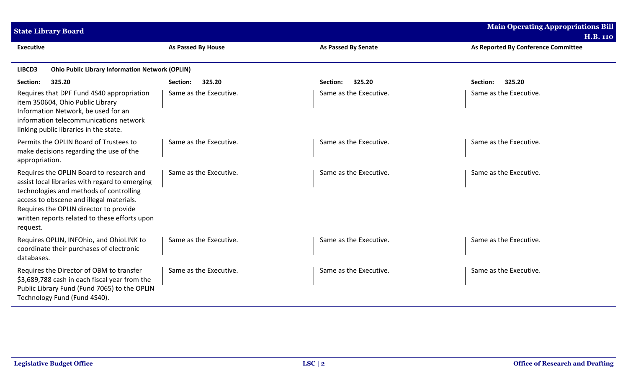| <b>State Library Board</b>                                                                                                                                                                                                                                                               |                        | <b>Main Operating Appropriations Bill</b><br><b>H.B. 110</b> |                                     |  |  |  |
|------------------------------------------------------------------------------------------------------------------------------------------------------------------------------------------------------------------------------------------------------------------------------------------|------------------------|--------------------------------------------------------------|-------------------------------------|--|--|--|
| <b>Executive</b>                                                                                                                                                                                                                                                                         | As Passed By House     | <b>As Passed By Senate</b>                                   | As Reported By Conference Committee |  |  |  |
| <b>Ohio Public Library Information Network (OPLIN)</b><br>LIBCD3                                                                                                                                                                                                                         |                        |                                                              |                                     |  |  |  |
| 325.20<br>Section:                                                                                                                                                                                                                                                                       | 325.20<br>Section:     | 325.20<br>Section:                                           | 325.20<br>Section:                  |  |  |  |
| Requires that DPF Fund 4S40 appropriation<br>item 350604, Ohio Public Library<br>Information Network, be used for an<br>information telecommunications network<br>linking public libraries in the state.                                                                                 | Same as the Executive. | Same as the Executive.                                       | Same as the Executive.              |  |  |  |
| Permits the OPLIN Board of Trustees to<br>make decisions regarding the use of the<br>appropriation.                                                                                                                                                                                      | Same as the Executive. | Same as the Executive.                                       | Same as the Executive.              |  |  |  |
| Requires the OPLIN Board to research and<br>assist local libraries with regard to emerging<br>technologies and methods of controlling<br>access to obscene and illegal materials.<br>Requires the OPLIN director to provide<br>written reports related to these efforts upon<br>request. | Same as the Executive. | Same as the Executive.                                       | Same as the Executive.              |  |  |  |
| Requires OPLIN, INFOhio, and OhioLINK to<br>coordinate their purchases of electronic<br>databases.                                                                                                                                                                                       | Same as the Executive. | Same as the Executive.                                       | Same as the Executive.              |  |  |  |
| Requires the Director of OBM to transfer<br>\$3,689,788 cash in each fiscal year from the<br>Public Library Fund (Fund 7065) to the OPLIN<br>Technology Fund (Fund 4S40).                                                                                                                | Same as the Executive. | Same as the Executive.                                       | Same as the Executive.              |  |  |  |